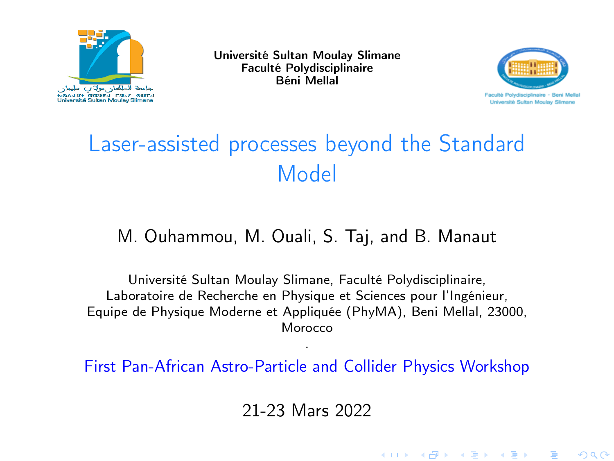<span id="page-0-0"></span>

Université Sultan Moulay Slimane Faculté Polydisciplinaire Béni Mellal



K ロ ▶ (K) @ ▶ (K) 로 ▶ (K) 큰 ▶ (《) 곧

 $290$ 

# Laser-assisted processes beyond the Standard Model

#### M. Ouhammou, M. Ouali, S. Taj, and B. Manaut

Université Sultan Moulay Slimane, Faculté Polydisciplinaire, Laboratoire de Recherche en Physique et Sciences pour l'Ingénieur, Equipe de Physique Moderne et Appliquée (PhyMA), Beni Mellal, 23000, Morocco

. First Pan-African Astro-Particle and Collider Physics Workshop

21-23 Mars 2022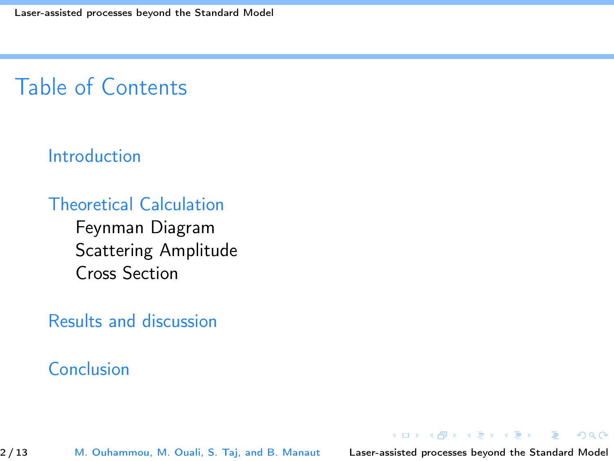# Table of Contents

#### [Introduction](#page-2-0)

## [Theoretical Calculation](#page-3-0)

[Feynman Diagram](#page-3-0) [Scattering Amplitude](#page-3-0) [Cross Section](#page-6-0)

#### [Results and discussion](#page-7-0)

## [Conclusion](#page-11-0)

2/13 M. Ouhammou, M. Ouali, S. Taj, and B. Manaut [Laser-assisted processes beyond the Standard Model](#page-0-0)

 $2990$ 

**K ロ ト K 何 ト K ヨ ト K ヨ ト**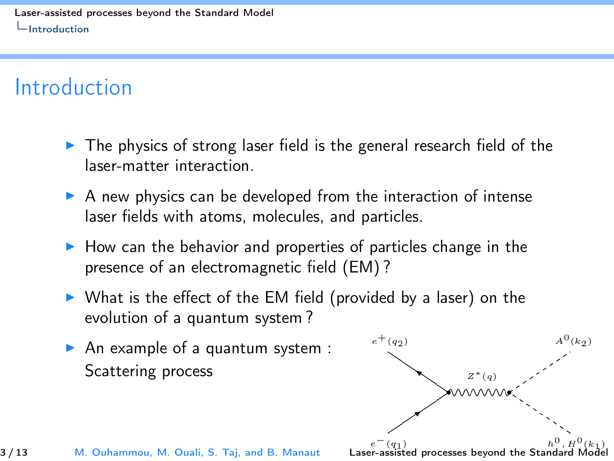# <span id="page-2-0"></span>Introduction

- $\triangleright$  The physics of strong laser field is the general research field of the laser-matter interaction.
- $\triangleright$  A new physics can be developed from the interaction of intense laser fields with atoms, molecules, and particles.
- $\blacktriangleright$  How can the behavior and properties of particles change in the presence of an electromagnetic field (EM) ?
- $\triangleright$  What is the effect of the EM field (provided by a laser) on the evolution of a quantum system ?
- An example of a quantum system : Scattering process

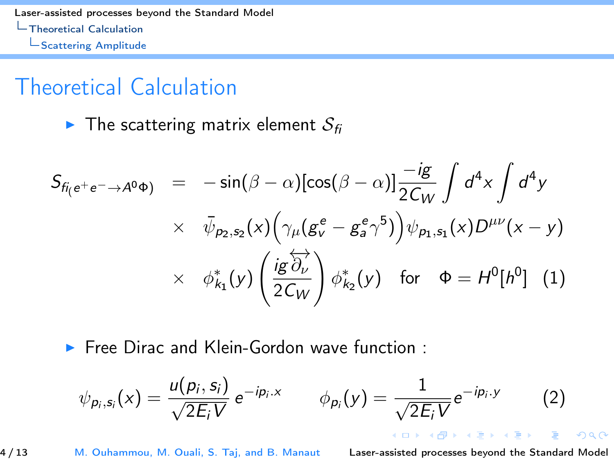<span id="page-3-0"></span>[Laser-assisted processes beyond the Standard Model](#page-0-0) [Theoretical Calculation](#page-3-0) [Scattering Amplitude](#page-3-0)

## Theoretical Calculation

 $\blacktriangleright$  The scattering matrix element  $S_f$ 

$$
S_{fi_{\left(e^{+}e^{-}\rightarrow A^{0}\Phi\right)}} = -\sin(\beta - \alpha)[\cos(\beta - \alpha)]\frac{-ig}{2C_{W}}\int d^{4}x \int d^{4}y
$$
  
 
$$
\times \overline{\psi}_{p_{2},s_{2}}(x)\left(\gamma_{\mu}(g_{v}^{e} - g_{s}^{e}\gamma^{5})\right)\psi_{p_{1},s_{1}}(x)D^{\mu\nu}(x - y)
$$
  
 
$$
\times \phi_{k_{1}}^{*}(y)\left(\frac{ig\overleftrightarrow{\partial_{\nu}}}{2C_{W}}\right)\phi_{k_{2}}^{*}(y) \text{ for } \Phi = H^{0}[h^{0}]\quad (1)
$$

 $\triangleright$  Free Dirac and Klein-Gordon wave function :

$$
\psi_{p_i,s_i}(x) = \frac{u(p_i,s_i)}{\sqrt{2E_i V}} e^{-ip_i.x} \qquad \phi_{p_i}(y) = \frac{1}{\sqrt{2E_i V}} e^{-ip_i.y} \qquad (2)
$$

4 / 13 M. Ouhammou, M. Ouali, S. Taj, and B. Manaut [Laser-assisted processes beyond the Standard Model](#page-0-0)

 $\left\{ \begin{array}{ccc} 1 & 0 & 0 \\ 0 & 1 & 0 \end{array} \right.$ 

 $2Q$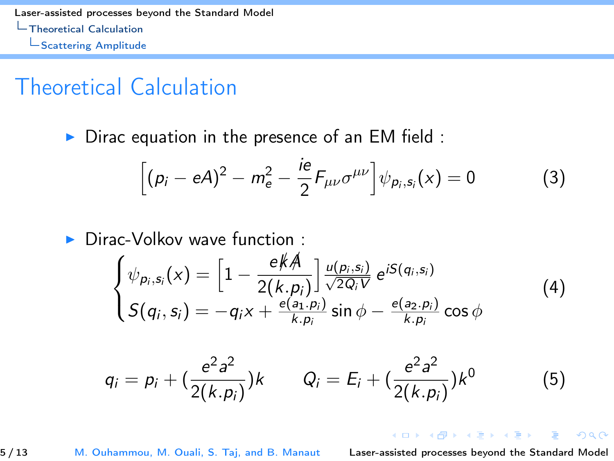<span id="page-4-0"></span>[Laser-assisted processes beyond the Standard Model](#page-0-0) [Theoretical Calculation](#page-4-0) [Scattering Amplitude](#page-4-0)

## Theoretical Calculation

 $\triangleright$  Dirac equation in the presence of an EM field :

$$
\[ (\rho_i - eA)^2 - m_e^2 - \frac{ie}{2} F_{\mu\nu} \sigma^{\mu\nu} \] \psi_{\rho_i, s_i}(x) = 0 \tag{3}
$$

 $\triangleright$  Dirac-Volkov wave function :

$$
\begin{cases}\n\psi_{p_i,s_i}(x) = \left[1 - \frac{e \cancel{K} A}{2(k.p_i)}\right] \frac{u(p_i,s_i)}{\sqrt{2Q_i V}} e^{iS(q_i,s_i)} \\
S(q_i,s_i) = -q_i x + \frac{e(a_1,p_i)}{k.p_i} \sin \phi - \frac{e(a_2,p_i)}{k.p_i} \cos \phi\n\end{cases}
$$
\n(4)

$$
q_i = p_i + \left(\frac{e^2 a^2}{2(k.p_i)}\right)k \qquad Q_i = E_i + \left(\frac{e^2 a^2}{2(k.p_i)}\right)k^0 \tag{5}
$$

#### 5 / 13 M. Ouhammou, M. Ouali, S. Taj, and B. Manaut [Laser-assisted processes beyond the Standard Model](#page-0-0)

**K ロ ▶ | K 母 ▶ | K ヨ ▶ | K ヨ ▶** 

 $2Q$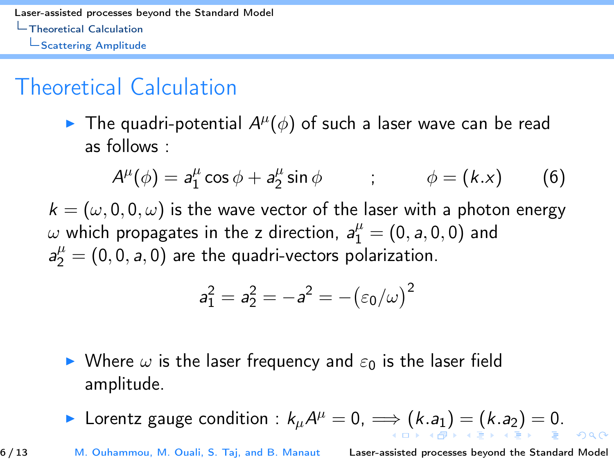<span id="page-5-0"></span>[Laser-assisted processes beyond the Standard Model](#page-0-0) [Theoretical Calculation](#page-5-0)

[Scattering Amplitude](#page-5-0)

# Theoretical Calculation

The quadri-potential  $A^{\mu}(\phi)$  of such a laser wave can be read as follows :

$$
A^{\mu}(\phi) = a_1^{\mu} \cos \phi + a_2^{\mu} \sin \phi \qquad ; \qquad \phi = (k.x) \qquad (6)
$$

 $k = (\omega, 0, 0, \omega)$  is the wave vector of the laser with a photon energy  $\omega$  which propagates in the z direction,  $a_1^{\mu} = (0, a, 0, 0)$  and  $a_2^{\mu} = (0, 0, a, 0)$  are the quadri-vectors polarization.

$$
a_1^2=a_2^2=-a^2=-\big(\varepsilon_0/\omega\big)^2
$$

- $\triangleright$  Where  $\omega$  is the laser frequency and  $\varepsilon_0$  is the laser field amplitude.
- ▶ Lorentz g[a](#page-2-0)ugecondition :  $k_{\mu}A^{\mu}=0$  $k_{\mu}A^{\mu}=0$  $k_{\mu}A^{\mu}=0$  $k_{\mu}A^{\mu}=0$ ,  $\Longrightarrow$   $(k.a_{1})=(k.a_{2})=0$  $(k.a_{1})=(k.a_{2})=0$  $(k.a_{1})=(k.a_{2})=0$  $(k.a_{1})=(k.a_{2})=0$  $(k.a_{1})=(k.a_{2})=0$  $(k.a_{1})=(k.a_{2})=0$  $(k.a_{1})=(k.a_{2})=0$  $(k.a_{1})=(k.a_{2})=0$  $(k.a_{1})=(k.a_{2})=0$ .

6 / 13 M. Ouhammou, M. Ouali, S. Taj, and B. Manaut [Laser-assisted processes beyond the Standard Model](#page-0-0)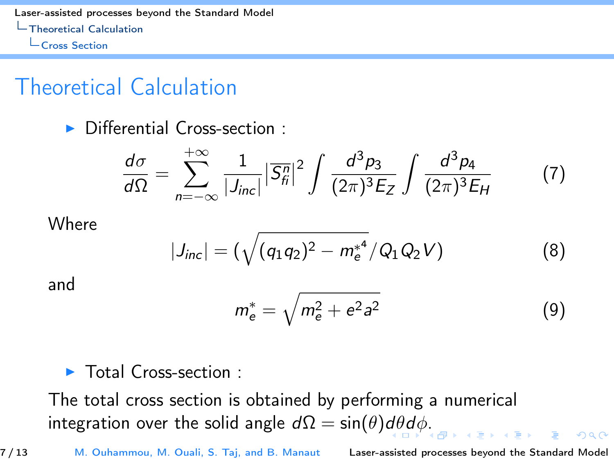<span id="page-6-0"></span>[Laser-assisted processes beyond the Standard Model](#page-0-0) [Theoretical Calculation](#page-6-0) **L**[Cross Section](#page-6-0)

# Theoretical Calculation

 $\triangleright$  Differential Cross-section :

$$
\frac{d\sigma}{d\Omega} = \sum_{n=-\infty}^{+\infty} \frac{1}{|J_{inc}|} |\overline{S}_{fi}^{n}|^{2} \int \frac{d^{3}p_{3}}{(2\pi)^{3}E_{Z}} \int \frac{d^{3}p_{4}}{(2\pi)^{3}E_{H}}
$$
(7)

**Where** 

$$
|J_{inc}| = (\sqrt{(q_1q_2)^2 - m_e^{*^4}}/Q_1Q_2V)
$$
 (8)

and

$$
m_e^* = \sqrt{m_e^2 + e^2 a^2}
$$
 (9)

 $\blacktriangleright$  Total Cross-section :

The total cross section is obtained by performing a numerical integration over the soli[d](#page-5-0) angle  $d\Omega = \sin(\theta) d\theta d\phi$ [.](#page-5-0)

7 / 13 M. Ouhammou, M. Ouali, S. Taj, and B. Manaut [Laser-assisted processes beyond the Standard Model](#page-0-0)

 $ORO$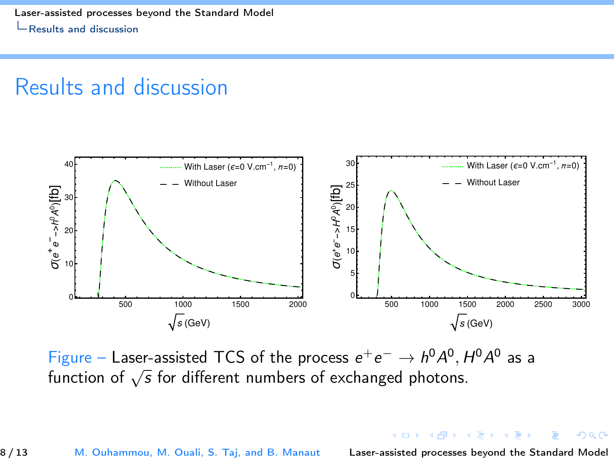# <span id="page-7-0"></span>Results and discussion



Figure – Laser-assisted TCS of the process  $e^+e^- \rightarrow h^0A^0$ ,  $H^0A^0$  as a Figure – Laser-assisted TCS of the process  $e^+e^- \rightarrow H \rightarrow$ , r<br>function of  $\sqrt{s}$  for different numbers of exchanged photons.

8 / 13 M. Ouhammou, M. Ouali, S. Taj, and B. Manaut [Laser-assisted processes beyond the Standard Model](#page-0-0)

 $QQ$ 

 $\left\{ \begin{array}{ccc} 1 & 0 & 0 \\ 0 & 1 & 0 \end{array} \right.$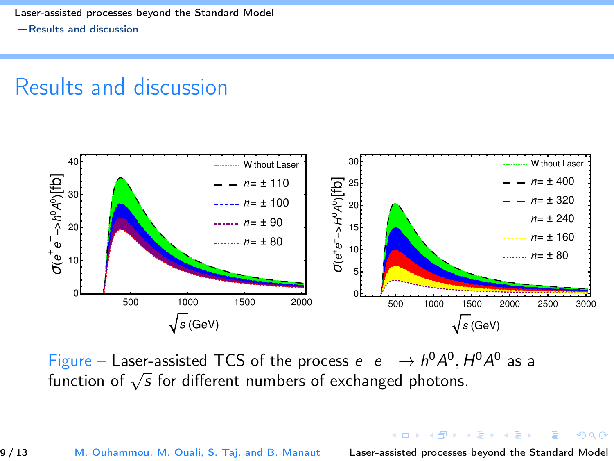# <span id="page-8-0"></span>Results and discussion



Figure – Laser-assisted TCS of the process  $e^+e^- \rightarrow h^0A^0$ ,  $H^0A^0$  as a Figure – Laser-assisted TCS of the process  $e^+e^- \rightarrow H \rightarrow$ , r<br>function of  $\sqrt{s}$  for different numbers of exchanged photons.

9 / 13 M. Ouhammou, M. Ouali, S. Taj, and B. Manaut [Laser-assisted processes beyond the Standard Model](#page-0-0)

 $QQQ$ 

K ロ > K @ > K 경 > K 경 >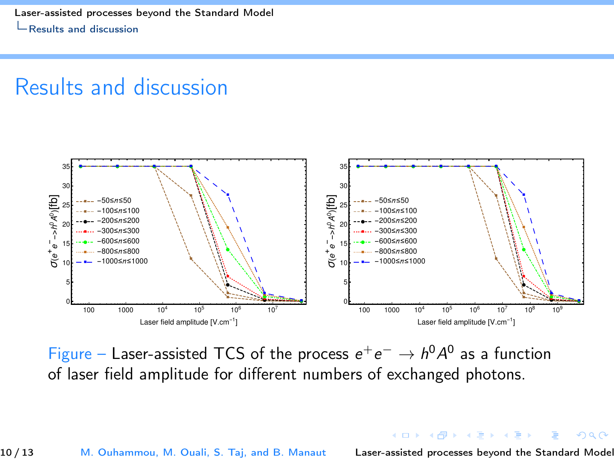<span id="page-9-0"></span>[Laser-assisted processes beyond the Standard Model](#page-0-0) [Results and discussion](#page-9-0)

## Results and discussion



Figure – Laser-assisted TCS of the process  $e^+e^- \to h^0A^0$  as a function of laser field amplitude for different numbers of exchanged photons.

10 / 13 M. Ouhammou, M. Ouali, S. Taj, and B. Manaut [Laser-assisted processes beyond the Standard Model](#page-0-0)

 $QQ$ 

イロメ イ何メ イヨメ イヨメ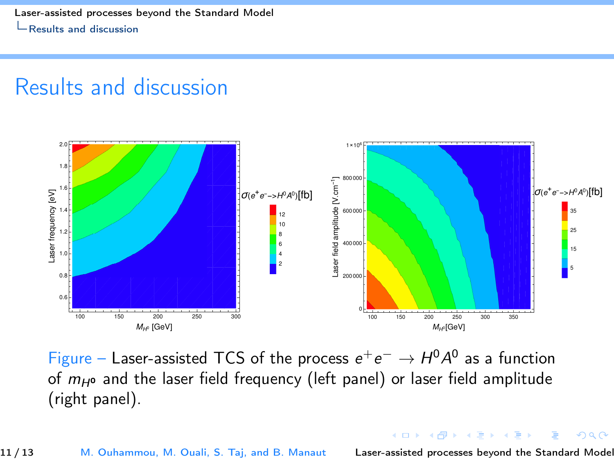<span id="page-10-0"></span>[Laser-assisted processes beyond the Standard Model](#page-0-0) [Results and discussion](#page-10-0)

## Results and discussion



Figure – Laser-assisted TCS of the process  $e^+e^- \rightarrow H^0A^0$  as a function of  $m<sub>H0</sub>$  and the laser field frequency (left panel) or laser field amplitude (right panel).

 $\mathbb{R}^n \times \mathbb{R}^n \to \mathbb{R}^n$ 

 $-100$ 

 $QQ$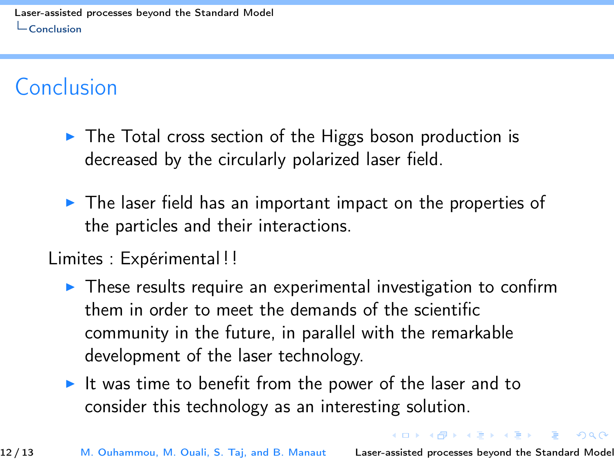# <span id="page-11-0"></span>Conclusion

- $\triangleright$  The Total cross section of the Higgs boson production is decreased by the circularly polarized laser field.
- $\triangleright$  The laser field has an important impact on the properties of the particles and their interactions.
- Limites : Expérimental ! !
	- $\triangleright$  These results require an experimental investigation to confirm them in order to meet the demands of the scientific community in the future, in parallel with the remarkable development of the laser technology.
	- It was time to benefit from the power of the laser and to consider this technology as an interesting solution.